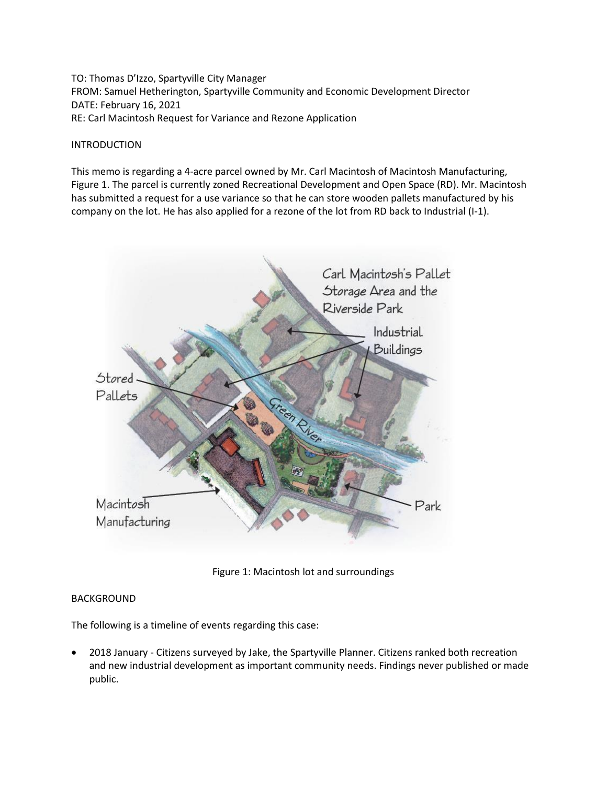TO: Thomas D'Izzo, Spartyville City Manager FROM: Samuel Hetherington, Spartyville Community and Economic Development Director DATE: February 16, 2021 RE: Carl Macintosh Request for Variance and Rezone Application

### INTRODUCTION

This memo is regarding a 4-acre parcel owned by Mr. Carl Macintosh of Macintosh Manufacturing, Figure 1. The parcel is currently zoned Recreational Development and Open Space (RD). Mr. Macintosh has submitted a request for a use variance so that he can store wooden pallets manufactured by his company on the lot. He has also applied for a rezone of the lot from RD back to Industrial (I-1).



Figure 1: Macintosh lot and surroundings

## BACKGROUND

The following is a timeline of events regarding this case:

• 2018 January - Citizens surveyed by Jake, the Spartyville Planner. Citizens ranked both recreation and new industrial development as important community needs. Findings never published or made public.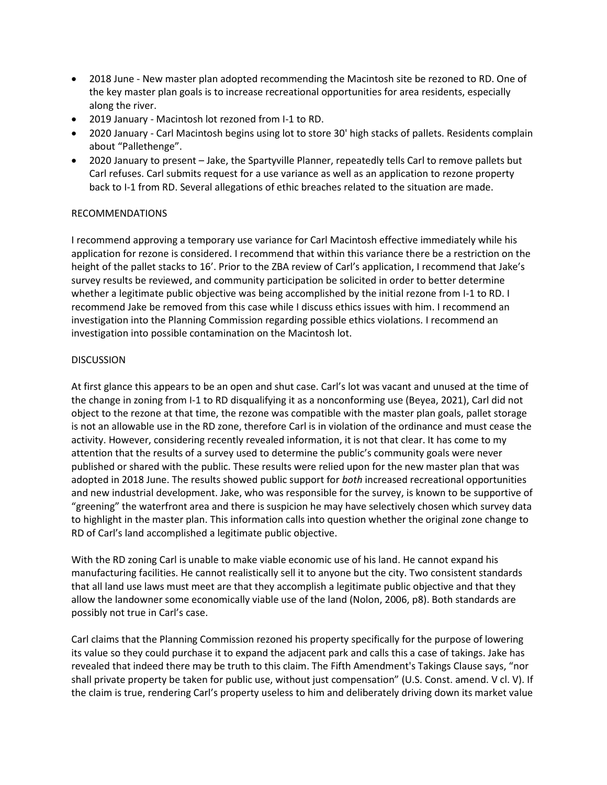- 2018 June New master plan adopted recommending the Macintosh site be rezoned to RD. One of the key master plan goals is to increase recreational opportunities for area residents, especially along the river.
- 2019 January Macintosh lot rezoned from I-1 to RD.
- 2020 January Carl Macintosh begins using lot to store 30' high stacks of pallets. Residents complain about "Pallethenge".
- 2020 January to present Jake, the Spartyville Planner, repeatedly tells Carl to remove pallets but Carl refuses. Carl submits request for a use variance as well as an application to rezone property back to I-1 from RD. Several allegations of ethic breaches related to the situation are made.

## RECOMMENDATIONS

I recommend approving a temporary use variance for Carl Macintosh effective immediately while his application for rezone is considered. I recommend that within this variance there be a restriction on the height of the pallet stacks to 16'. Prior to the ZBA review of Carl's application, I recommend that Jake's survey results be reviewed, and community participation be solicited in order to better determine whether a legitimate public objective was being accomplished by the initial rezone from I-1 to RD. I recommend Jake be removed from this case while I discuss ethics issues with him. I recommend an investigation into the Planning Commission regarding possible ethics violations. I recommend an investigation into possible contamination on the Macintosh lot.

## DISCUSSION

At first glance this appears to be an open and shut case. Carl's lot was vacant and unused at the time of the change in zoning from I-1 to RD disqualifying it as a nonconforming use (Beyea, 2021), Carl did not object to the rezone at that time, the rezone was compatible with the master plan goals, pallet storage is not an allowable use in the RD zone, therefore Carl is in violation of the ordinance and must cease the activity. However, considering recently revealed information, it is not that clear. It has come to my attention that the results of a survey used to determine the public's community goals were never published or shared with the public. These results were relied upon for the new master plan that was adopted in 2018 June. The results showed public support for *both* increased recreational opportunities and new industrial development. Jake, who was responsible for the survey, is known to be supportive of "greening" the waterfront area and there is suspicion he may have selectively chosen which survey data to highlight in the master plan. This information calls into question whether the original zone change to RD of Carl's land accomplished a legitimate public objective.

With the RD zoning Carl is unable to make viable economic use of his land. He cannot expand his manufacturing facilities. He cannot realistically sell it to anyone but the city. Two consistent standards that all land use laws must meet are that they accomplish a legitimate public objective and that they allow the landowner some economically viable use of the land (Nolon, 2006, p8). Both standards are possibly not true in Carl's case.

Carl claims that the Planning Commission rezoned his property specifically for the purpose of lowering its value so they could purchase it to expand the adjacent park and calls this a case of takings. Jake has revealed that indeed there may be truth to this claim. The Fifth Amendment's Takings Clause says, "nor shall private property be taken for public use, without just compensation" (U.S. Const. amend. V cl. V). If the claim is true, rendering Carl's property useless to him and deliberately driving down its market value